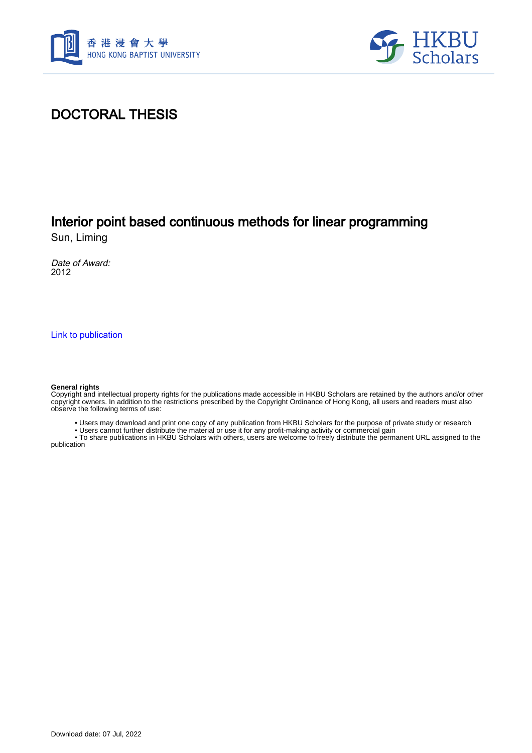



### DOCTORAL THESIS

## Interior point based continuous methods for linear programming

Sun, Liming

Date of Award: 2012

[Link to publication](https://scholars.hkbu.edu.hk/en/studentTheses/0e85d24d-10ac-4ac0-b880-3ad0b142f42e)

#### **General rights**

Copyright and intellectual property rights for the publications made accessible in HKBU Scholars are retained by the authors and/or other copyright owners. In addition to the restrictions prescribed by the Copyright Ordinance of Hong Kong, all users and readers must also observe the following terms of use:

• Users may download and print one copy of any publication from HKBU Scholars for the purpose of private study or research

• Users cannot further distribute the material or use it for any profit-making activity or commercial gain

 • To share publications in HKBU Scholars with others, users are welcome to freely distribute the permanent URL assigned to the publication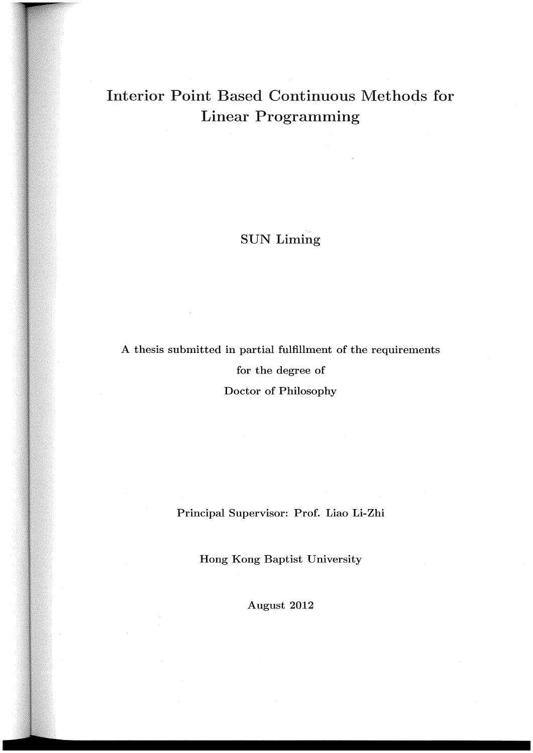### Interior Point Based Continuous Methods for Linear Programming

### SUN Liming

A thesis submitted in partial fulfillment of the requirements for the degree of Doctor of Philosophy

Principal Supervisor: Prof. Liao Li-Zhi

Hong Kong Baptist University

August 2012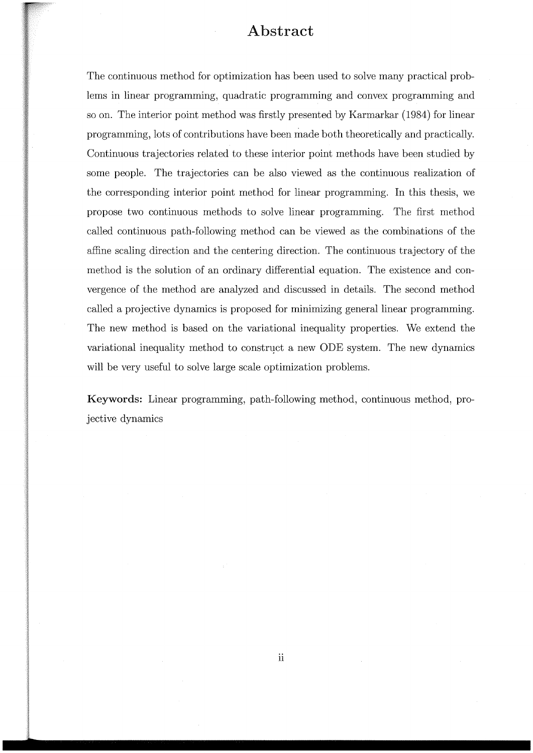### Abstract

The continuous method for optimization has been used to solve many practical problems in linear programming, quadratic programming and convex programming and so on. The interior point method was firstly presented by Karmarkar (1984) for linear programming, lots of contributions have been made both theoretically and practically. Continuous trajectories related to these interior point methods have been studied by some people. The trajectories can be also viewed as the continuous realization of the corresponding interior point method for linear programming. In this thesis, we propose two continuous methods to solve linear programming. The first method called continuous path-following method can be viewed as the combinations of the affine scaling direction and the centering direction. The continuous trajectory of the method is the solution of an ordinary differential equation. The existence and convergence of the method are analyzed and discussed in details. The second method called a projective dynamics is proposed for minimizing general linear programming. The new method is based on the variational inequality properties. We extend the variational inequality method to construct a new ODE system. The new dynamics will be very useful to solve large scale optimization problems.

Keywords: Linear programming, path-following method, continuous method, projective dynamics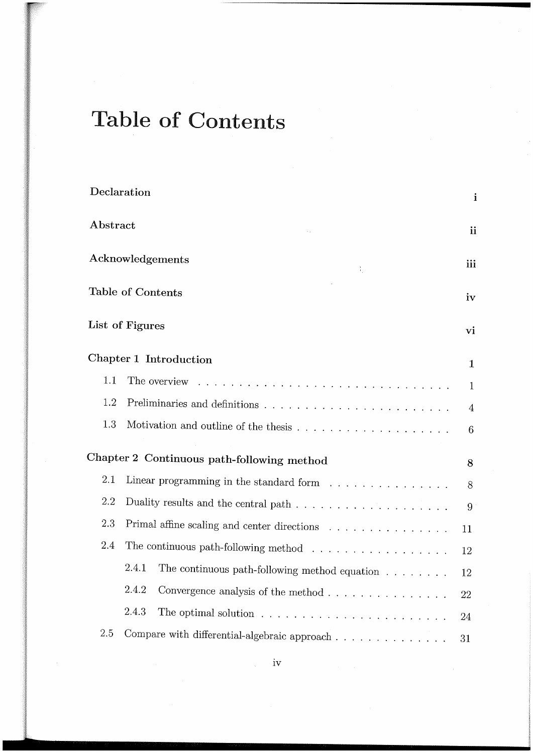# Table of Contents

|          | Declaration                                                                                          | $\mathbf{i}$   |
|----------|------------------------------------------------------------------------------------------------------|----------------|
| Abstract |                                                                                                      | ii             |
|          | Acknowledgements<br>÷                                                                                | iii            |
|          | Table of Contents                                                                                    | iv             |
|          | List of Figures                                                                                      | vi             |
|          | <b>Chapter 1 Introduction</b>                                                                        | $\mathbf{1}$   |
| 1.1      | The overview<br>a de la caractería de la caractería de la caractería de la caractería                | $\mathbf{1}$   |
| 1.2      |                                                                                                      | $\overline{4}$ |
| 1.3      | Motivation and outline of the thesis $\ldots \ldots \ldots \ldots \ldots \ldots$                     | 6              |
|          | Chapter 2 Continuous path-following method                                                           | 8              |
| 2.1      | Linear programming in the standard form $\ldots \ldots \ldots \ldots \ldots$                         | 8              |
| 2.2      | Duality results and the central path $\ldots$ , $\ldots$ , $\ldots$ , $\ldots$ , $\ldots$ , $\ldots$ | 9              |
| 2.3      | Primal affine scaling and center directions $\ldots \ldots \ldots \ldots \ldots$                     | 11             |
| 2.4      | The continuous path-following method $\ldots \ldots \ldots \ldots \ldots \ldots$                     | 12             |
|          | 2.4.1<br>The continuous path-following method equation $\hfill\ldots$ $\hfill\ldots$ $\hfill\ldots$  | 12             |
|          | 2.4.2<br>Convergence analysis of the method $\ldots \ldots \ldots \ldots \ldots$                     | 22             |
|          | 2.4.3<br>The optimal solution $\ldots \ldots \ldots \ldots \ldots \ldots \ldots \ldots$              | 24             |
| 2.5      | Compare with differential-algebraic approach $\ldots$ , $\ldots$ , $\ldots$ , $\ldots$               | 31             |